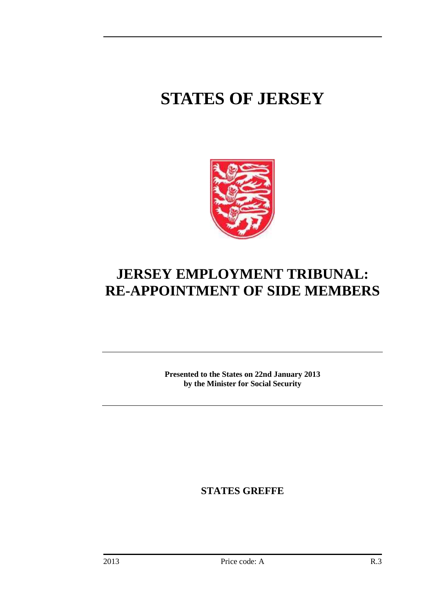# **STATES OF JERSEY**



## **JERSEY EMPLOYMENT TRIBUNAL: RE-APPOINTMENT OF SIDE MEMBERS**

**Presented to the States on 22nd January 2013 by the Minister for Social Security** 

**STATES GREFFE**